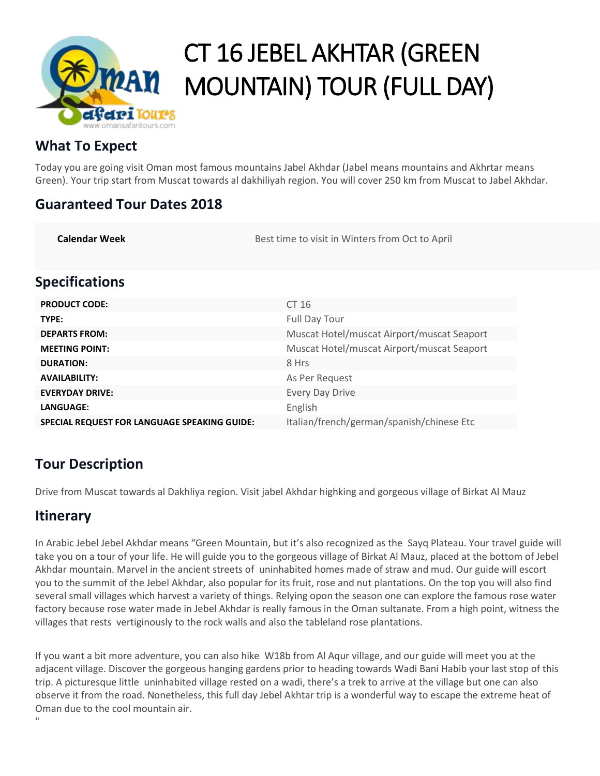

# CT 16 JEBEL AKHTAR (GREEN MOUNTAIN) TOUR (FULL DAY)

# **What To Expect**

Today you are going visit Oman most famous mountains Jabel Akhdar (Jabel means mountains and Akhrtar means Green). Your trip start from Muscat towards al dakhiliyah region. You will cover 250 km from Muscat to Jabel Akhdar.

## **Guaranteed Tour Dates 2018**

| <b>Specifications</b>                               |                                            |
|-----------------------------------------------------|--------------------------------------------|
| <b>PRODUCT CODE:</b>                                | CT 16                                      |
| TYPE:                                               | <b>Full Day Tour</b>                       |
| <b>DEPARTS FROM:</b>                                | Muscat Hotel/muscat Airport/muscat Seaport |
| <b>MEETING POINT:</b>                               | Muscat Hotel/muscat Airport/muscat Seaport |
| <b>DURATION:</b>                                    | 8 Hrs                                      |
| <b>AVAILABILITY:</b>                                | As Per Request                             |
| <b>EVERYDAY DRIVE:</b>                              | <b>Every Day Drive</b>                     |
| LANGUAGE:                                           | English                                    |
| <b>SPECIAL REQUEST FOR LANGUAGE SPEAKING GUIDE:</b> | Italian/french/german/spanish/chinese Etc  |

**Calendar Week Best time to visit in Winters from Oct to April** 

# **Tour Description**

Drive from Muscat towards al Dakhliya region. Visit jabel Akhdar highking and gorgeous village of Birkat Al Mauz

# **Itinerary**

In Arabic Jebel Jebel Akhdar means "Green Mountain, but it's also recognized as the Sayq Plateau. Your travel guide will take you on a tour of your life. He will guide you to the gorgeous village of Birkat Al Mauz, placed at the bottom of Jebel Akhdar mountain. Marvel in the ancient streets of uninhabited homes made of straw and mud. Our guide will escort you to the summit of the Jebel Akhdar, also popular for its fruit, rose and nut plantations. On the top you will also find several small villages which harvest a variety of things. Relying opon the season one can explore the famous rose water factory because rose water made in Jebel Akhdar is really famous in the Oman sultanate. From a high point, witness the villages that rests vertiginously to the rock walls and also the tableland rose plantations.

If you want a bit more adventure, you can also hike W18b from Al Aqur village, and our guide will meet you at the adjacent village. Discover the gorgeous hanging gardens prior to heading towards Wadi Bani Habib your last stop of this trip. A picturesque little uninhabited village rested on a wadi, there's a trek to arrive at the village but one can also observe it from the road. Nonetheless, this full day Jebel Akhtar trip is a wonderful way to escape the extreme heat of Oman due to the cool mountain air.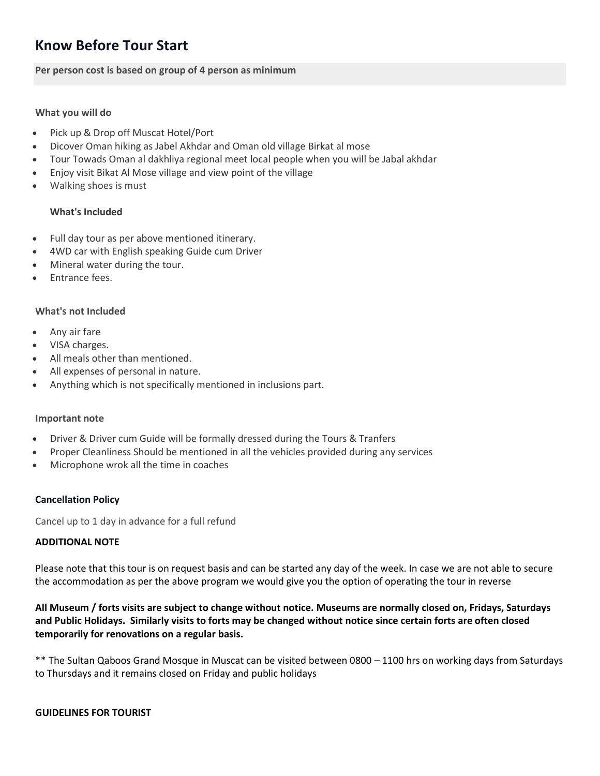# **Know Before Tour Start**

**Per person cost is based on group of 4 person as minimum**

## **What you will do**

- Pick up & Drop off Muscat Hotel/Port
- Dicover Oman hiking as Jabel Akhdar and Oman old village Birkat al mose
- Tour Towads Oman al dakhliya regional meet local people when you will be Jabal akhdar
- Enjoy visit Bikat Al Mose village and view point of the village
- Walking shoes is must

## **What's Included**

- Full day tour as per above mentioned itinerary.
- 4WD car with English speaking Guide cum Driver
- Mineral water during the tour.
- Entrance fees.

## **What's not Included**

- Any air fare
- VISA charges.
- All meals other than mentioned.
- All expenses of personal in nature.
- Anything which is not specifically mentioned in inclusions part.

## **Important note**

- Driver & Driver cum Guide will be formally dressed during the Tours & Tranfers
- Proper Cleanliness Should be mentioned in all the vehicles provided during any services
- Microphone wrok all the time in coaches

## **Cancellation Policy**

Cancel up to 1 day in advance for a full refund

## **ADDITIONAL NOTE**

Please note that this tour is on request basis and can be started any day of the week. In case we are not able to secure the accommodation as per the above program we would give you the option of operating the tour in reverse

**All Museum / forts visits are subject to change without notice. Museums are normally closed on, Fridays, Saturdays and Public Holidays. Similarly visits to forts may be changed without notice since certain forts are often closed temporarily for renovations on a regular basis.**

\*\* The Sultan Qaboos Grand Mosque in Muscat can be visited between 0800 – 1100 hrs on working days from Saturdays to Thursdays and it remains closed on Friday and public holidays